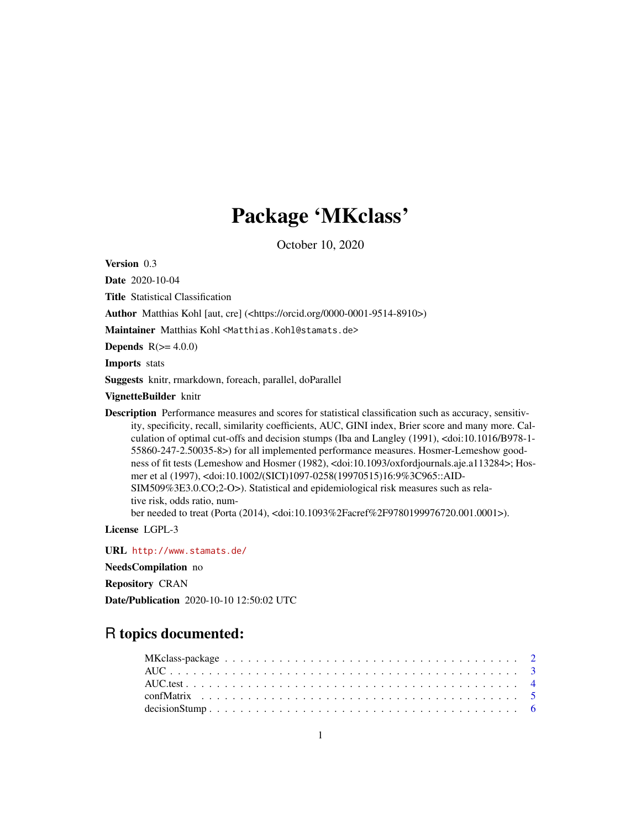## Package 'MKclass'

October 10, 2020

<span id="page-0-0"></span>Version 0.3

Date 2020-10-04

Title Statistical Classification

Author Matthias Kohl [aut, cre] (<https://orcid.org/0000-0001-9514-8910>)

Maintainer Matthias Kohl <Matthias.Kohl@stamats.de>

Depends  $R(>= 4.0.0)$ 

Imports stats

Suggests knitr, rmarkdown, foreach, parallel, doParallel

VignetteBuilder knitr

Description Performance measures and scores for statistical classification such as accuracy, sensitivity, specificity, recall, similarity coefficients, AUC, GINI index, Brier score and many more. Calculation of optimal cut-offs and decision stumps (Iba and Langley (1991), <doi:10.1016/B978-1- 55860-247-2.50035-8>) for all implemented performance measures. Hosmer-Lemeshow goodness of fit tests (Lemeshow and Hosmer (1982), <doi:10.1093/oxfordjournals.aje.a113284>; Hosmer et al (1997), <doi:10.1002/(SICI)1097-0258(19970515)16:9%3C965::AID-SIM509%3E3.0.CO;2-O>). Statistical and epidemiological risk measures such as relative risk, odds ratio, number needed to treat (Porta (2014), <doi:10.1093%2Facref%2F9780199976720.001.0001>).

License LGPL-3

URL <http://www.stamats.de/>

NeedsCompilation no

Repository CRAN

Date/Publication 2020-10-10 12:50:02 UTC

## R topics documented: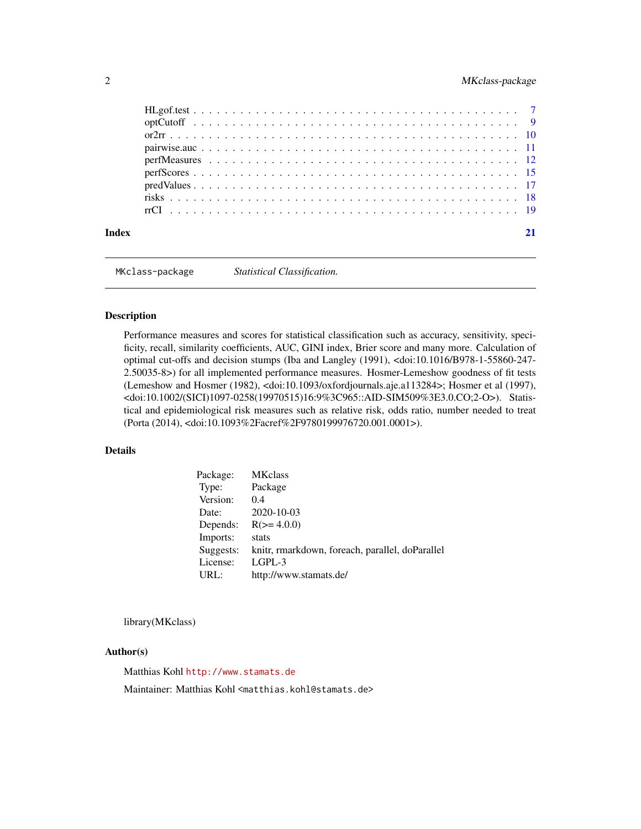## <span id="page-1-0"></span>2 MKclass-package

| Index |  |
|-------|--|
|       |  |
|       |  |
|       |  |
|       |  |
|       |  |
|       |  |
|       |  |
|       |  |
|       |  |

MKclass-package *Statistical Classification.*

#### Description

Performance measures and scores for statistical classification such as accuracy, sensitivity, specificity, recall, similarity coefficients, AUC, GINI index, Brier score and many more. Calculation of optimal cut-offs and decision stumps (Iba and Langley (1991), <doi:10.1016/B978-1-55860-247- 2.50035-8>) for all implemented performance measures. Hosmer-Lemeshow goodness of fit tests (Lemeshow and Hosmer (1982), <doi:10.1093/oxfordjournals.aje.a113284>; Hosmer et al (1997), <doi:10.1002/(SICI)1097-0258(19970515)16:9%3C965::AID-SIM509%3E3.0.CO;2-O>). Statistical and epidemiological risk measures such as relative risk, odds ratio, number needed to treat (Porta (2014), <doi:10.1093%2Facref%2F9780199976720.001.0001>).

## Details

| Package:  | <b>MKclass</b>                                  |
|-----------|-------------------------------------------------|
| Type:     | Package                                         |
| Version:  | 0.4                                             |
| Date:     | 2020-10-03                                      |
| Depends:  | $R(>= 4.0.0)$                                   |
| Imports:  | stats                                           |
| Suggests: | knitr, rmarkdown, foreach, parallel, doParallel |
| License:  | $L$ GPL-3                                       |
| URL:      | http://www.stamats.de/                          |

library(MKclass)

#### Author(s)

Matthias Kohl <http://www.stamats.de>

Maintainer: Matthias Kohl <matthias.kohl@stamats.de>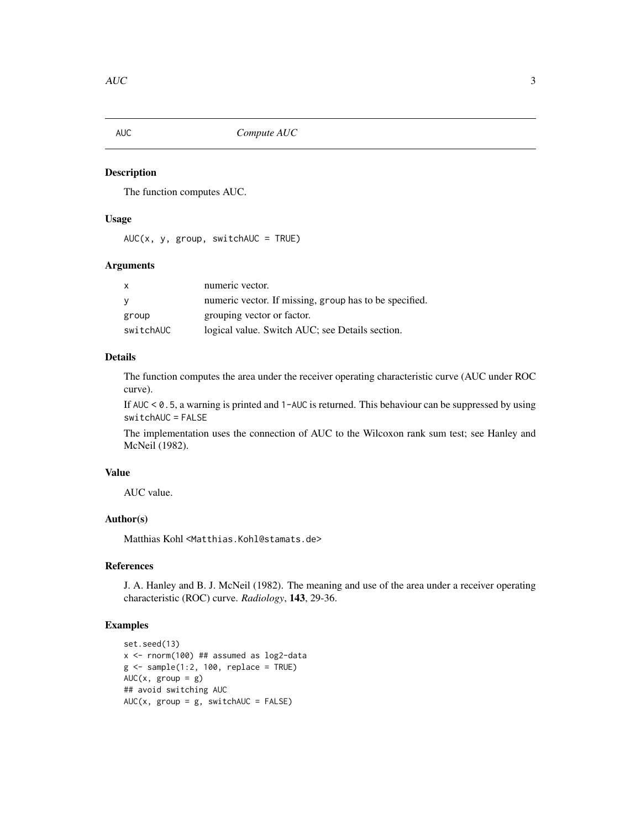<span id="page-2-1"></span><span id="page-2-0"></span>

## Description

The function computes AUC.

## Usage

 $AUC(x, y, group, switchAUC = TRUE)$ 

## Arguments

| x         | numeric vector.                                        |
|-----------|--------------------------------------------------------|
| v         | numeric vector. If missing, group has to be specified. |
| group     | grouping vector or factor.                             |
| switchAUC | logical value. Switch AUC; see Details section.        |

## Details

The function computes the area under the receiver operating characteristic curve (AUC under ROC curve).

If AUC < 0.5, a warning is printed and 1-AUC is returned. This behaviour can be suppressed by using switchAUC = FALSE

The implementation uses the connection of AUC to the Wilcoxon rank sum test; see Hanley and McNeil (1982).

## Value

AUC value.

## Author(s)

Matthias Kohl <Matthias.Kohl@stamats.de>

#### References

J. A. Hanley and B. J. McNeil (1982). The meaning and use of the area under a receiver operating characteristic (ROC) curve. *Radiology*, 143, 29-36.

## Examples

```
set.seed(13)
x <- rnorm(100) ## assumed as log2-data
g \le - sample(1:2, 100, replace = TRUE)
AUC(x, group = g)## avoid switching AUC
AUC(x, group = g, switchAUC = FALSE)
```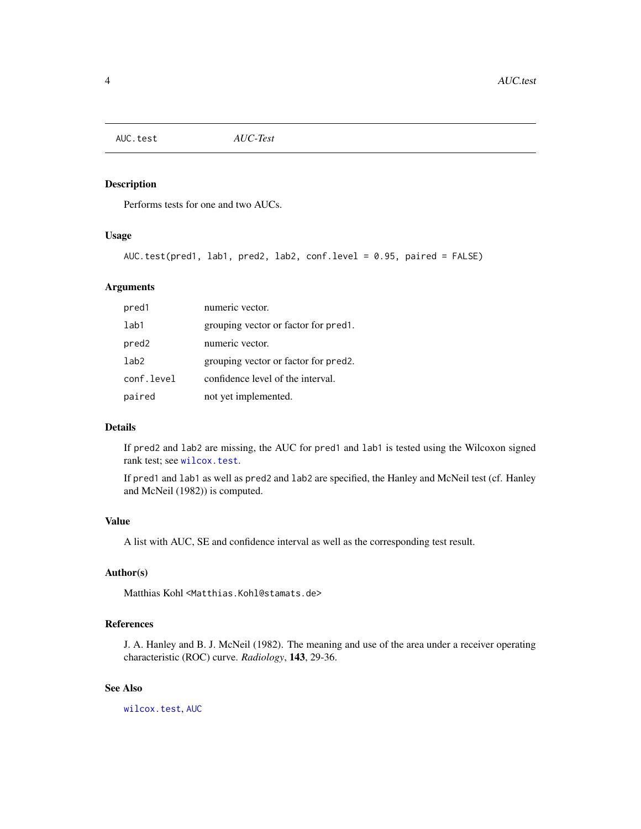<span id="page-3-0"></span>AUC.test *AUC-Test*

## Description

Performs tests for one and two AUCs.

## Usage

```
AUC.test(pred1, lab1, pred2, lab2, conf.level = 0.95, paired = FALSE)
```
## Arguments

| pred1             | numeric vector.                      |
|-------------------|--------------------------------------|
| 1ab1              | grouping vector or factor for pred.  |
| pred <sub>2</sub> | numeric vector.                      |
| 1ab2              | grouping vector or factor for pred2. |
| conf.level        | confidence level of the interval.    |
| paired            | not yet implemented.                 |

## Details

If pred2 and lab2 are missing, the AUC for pred1 and lab1 is tested using the Wilcoxon signed rank test; see [wilcox.test](#page-0-0).

If pred1 and lab1 as well as pred2 and lab2 are specified, the Hanley and McNeil test (cf. Hanley and McNeil (1982)) is computed.

#### Value

A list with AUC, SE and confidence interval as well as the corresponding test result.

#### Author(s)

Matthias Kohl <Matthias.Kohl@stamats.de>

## References

J. A. Hanley and B. J. McNeil (1982). The meaning and use of the area under a receiver operating characteristic (ROC) curve. *Radiology*, 143, 29-36.

## See Also

[wilcox.test](#page-0-0), [AUC](#page-2-1)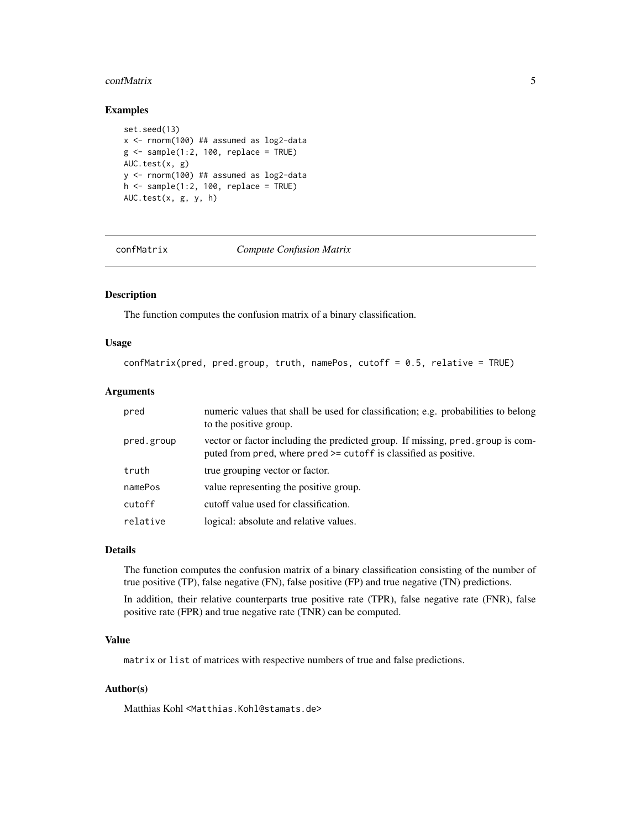#### <span id="page-4-0"></span>confMatrix 5

## Examples

```
set.seed(13)
x <- rnorm(100) ## assumed as log2-data
g \leftarrow sample(1:2, 100, replace = TRUE)
AUC.test(x, g)
y <- rnorm(100) ## assumed as log2-data
h \le - sample(1:2, 100, replace = TRUE)
AUC.test(x, g, y, h)
```
<span id="page-4-1"></span>confMatrix *Compute Confusion Matrix*

## Description

The function computes the confusion matrix of a binary classification.

#### Usage

```
confMatrix(pred, pred.group, truth, namePos, cutoff = 0.5, relative = TRUE)
```
#### Arguments

| pred       | numeric values that shall be used for classification; e.g. probabilities to belong<br>to the positive group.                                       |
|------------|----------------------------------------------------------------------------------------------------------------------------------------------------|
| pred.group | vector or factor including the predicted group. If missing, pred.group is com-<br>puted from pred, where pred >= cutoff is classified as positive. |
| truth      | true grouping vector or factor.                                                                                                                    |
| namePos    | value representing the positive group.                                                                                                             |
| cutoff     | cutoff value used for classification.                                                                                                              |
| relative   | logical: absolute and relative values.                                                                                                             |

#### Details

The function computes the confusion matrix of a binary classification consisting of the number of true positive (TP), false negative (FN), false positive (FP) and true negative (TN) predictions.

In addition, their relative counterparts true positive rate (TPR), false negative rate (FNR), false positive rate (FPR) and true negative rate (TNR) can be computed.

## Value

matrix or list of matrices with respective numbers of true and false predictions.

#### Author(s)

Matthias Kohl <Matthias.Kohl@stamats.de>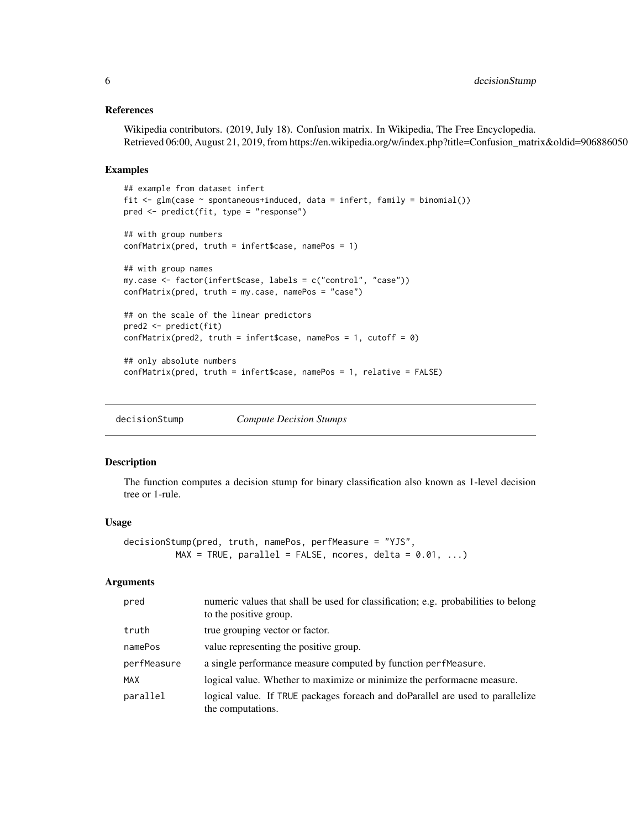#### <span id="page-5-0"></span>References

Wikipedia contributors. (2019, July 18). Confusion matrix. In Wikipedia, The Free Encyclopedia. Retrieved 06:00, August 21, 2019, from https://en.wikipedia.org/w/index.php?title=Confusion\_matrix&oldid=906886050

#### Examples

```
## example from dataset infert
fit \leq glm(case \sim spontaneous+induced, data = infert, family = binomial())
pred <- predict(fit, type = "response")
## with group numbers
confMatrix(pred, truth = infert$case, namePos = 1)
## with group names
my.case <- factor(infert$case, labels = c("control", "case"))
confMatrix(pred, truth = my.case, namePos = "case")
## on the scale of the linear predictors
pred2 <- predict(fit)
confMatrix(pred2, truth = infertcase, namePos = 1, cutoff = 0)
## only absolute numbers
confMatrix(pred, truth = infert$case, namePos = 1, relative = FALSE)
```
decisionStump *Compute Decision Stumps*

#### Description

The function computes a decision stump for binary classification also known as 1-level decision tree or 1-rule.

#### Usage

```
decisionStump(pred, truth, namePos, perfMeasure = "YJS",
         MAX = TRUE, parallel = FALSE, roores, delta = 0.01, ...)
```
#### Arguments

| pred        | numeric values that shall be used for classification; e.g. probabilities to belong<br>to the positive group. |
|-------------|--------------------------------------------------------------------------------------------------------------|
| truth       | true grouping vector or factor.                                                                              |
| namePos     | value representing the positive group.                                                                       |
| perfMeasure | a single performance measure computed by function perfmeasure.                                               |
| MAX         | logical value. Whether to maximize or minimize the performacne measure.                                      |
| parallel    | logical value. If TRUE packages for each and do Parallel are used to parallelize<br>the computations.        |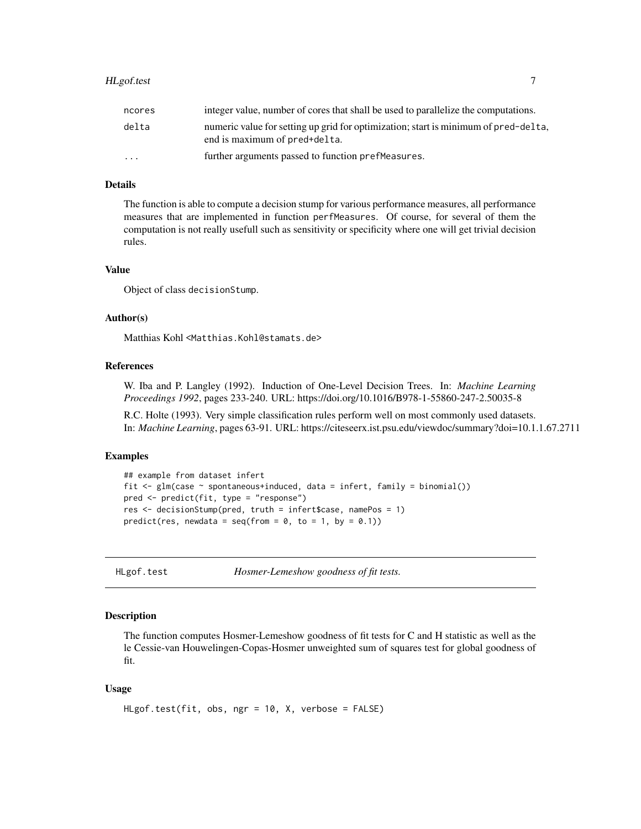## <span id="page-6-0"></span>HLgof.test 7

| ncores                  | integer value, number of cores that shall be used to parallelize the computations.                                   |
|-------------------------|----------------------------------------------------------------------------------------------------------------------|
| delta                   | numeric value for setting up grid for optimization; start is minimum of pred-delta,<br>end is maximum of pred+delta. |
| $\cdot$ $\cdot$ $\cdot$ | further arguments passed to function pref Measures.                                                                  |

## Details

The function is able to compute a decision stump for various performance measures, all performance measures that are implemented in function perfMeasures. Of course, for several of them the computation is not really usefull such as sensitivity or specificity where one will get trivial decision rules.

#### Value

Object of class decisionStump.

## Author(s)

Matthias Kohl <Matthias.Kohl@stamats.de>

#### References

W. Iba and P. Langley (1992). Induction of One-Level Decision Trees. In: *Machine Learning Proceedings 1992*, pages 233-240. URL: https://doi.org/10.1016/B978-1-55860-247-2.50035-8

R.C. Holte (1993). Very simple classification rules perform well on most commonly used datasets. In: *Machine Learning*, pages 63-91. URL: https://citeseerx.ist.psu.edu/viewdoc/summary?doi=10.1.1.67.2711

#### Examples

```
## example from dataset infert
fit \leq glm(case \sim spontaneous+induced, data = infert, family = binomial())
pred <- predict(fit, type = "response")
res <- decisionStump(pred, truth = infert$case, namePos = 1)
predict(res, newdata = seq(from = 0, to = 1, by = 0.1))
```
HLgof.test *Hosmer-Lemeshow goodness of fit tests.*

#### Description

The function computes Hosmer-Lemeshow goodness of fit tests for C and H statistic as well as the le Cessie-van Houwelingen-Copas-Hosmer unweighted sum of squares test for global goodness of fit.

#### Usage

```
HLgof.test(fit, obs, ngr = 10, X, verbose = FALSE)
```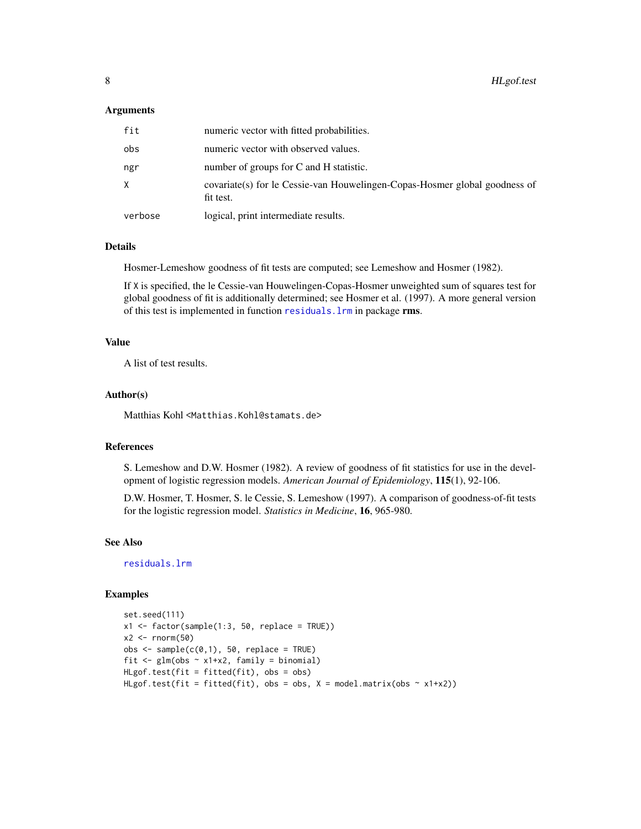#### <span id="page-7-0"></span>**Arguments**

| fit     | numeric vector with fitted probabilities.                                                |
|---------|------------------------------------------------------------------------------------------|
| obs     | numeric vector with observed values.                                                     |
| ngr     | number of groups for C and H statistic.                                                  |
| X       | covariate (s) for le Cessie-van Houwelingen-Copas-Hosmer global goodness of<br>fit test. |
| verbose | logical, print intermediate results.                                                     |

## Details

Hosmer-Lemeshow goodness of fit tests are computed; see Lemeshow and Hosmer (1982).

If X is specified, the le Cessie-van Houwelingen-Copas-Hosmer unweighted sum of squares test for global goodness of fit is additionally determined; see Hosmer et al. (1997). A more general version of this test is implemented in function [residuals.lrm](#page-0-0) in package rms.

## Value

A list of test results.

#### Author(s)

Matthias Kohl <Matthias.Kohl@stamats.de>

#### References

S. Lemeshow and D.W. Hosmer (1982). A review of goodness of fit statistics for use in the development of logistic regression models. *American Journal of Epidemiology*, 115(1), 92-106.

D.W. Hosmer, T. Hosmer, S. le Cessie, S. Lemeshow (1997). A comparison of goodness-of-fit tests for the logistic regression model. *Statistics in Medicine*, 16, 965-980.

## See Also

[residuals.lrm](#page-0-0)

### Examples

```
set.seed(111)
x1 \leftarrow factor(sample(1:3, 50, replace = TRUE))
x2 \le- rnorm(50)
obs < - sample(c(0,1), 50, replace = TRUE)fit \leq glm(obs \sim x1+x2, family = binomial)
HLgof.test(fit = fitted(fit), obs = obs)
HLgof.test(fit = fitted(fit), obs = obs, X = model.matrix(obs ~ x1+x2))
```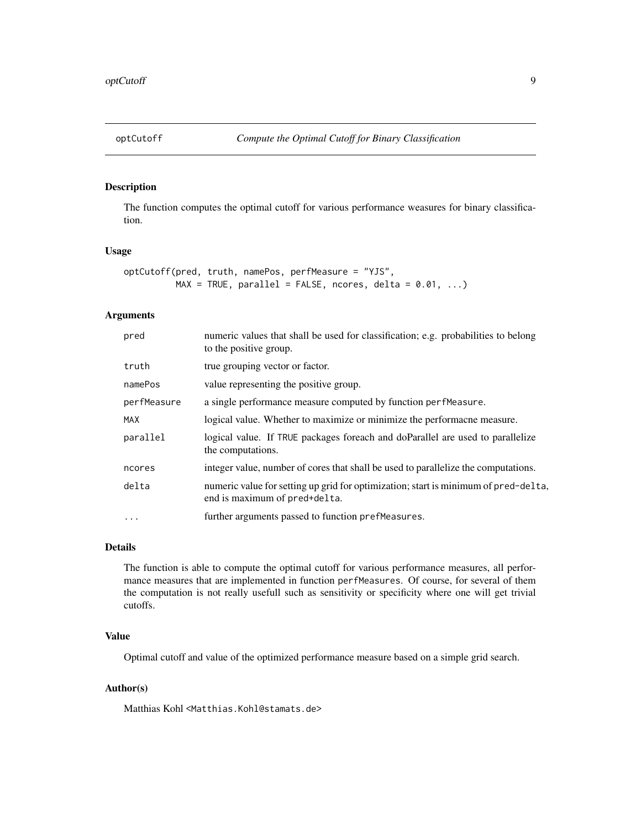<span id="page-8-0"></span>

## Description

The function computes the optimal cutoff for various performance weasures for binary classification.

#### Usage

```
optCutoff(pred, truth, namePos, perfMeasure = "YJS",
         MAX = TRUE, parallel = FALSE, roores, delta = 0.01, ...)
```
## Arguments

| numeric values that shall be used for classification; e.g. probabilities to belong<br>to the positive group.         |
|----------------------------------------------------------------------------------------------------------------------|
| true grouping vector or factor.                                                                                      |
| value representing the positive group.                                                                               |
| a single performance measure computed by function perfmeasure.                                                       |
| logical value. Whether to maximize or minimize the performacne measure.                                              |
| logical value. If TRUE packages for each and do Parallel are used to parallelize<br>the computations.                |
| integer value, number of cores that shall be used to parallelize the computations.                                   |
| numeric value for setting up grid for optimization; start is minimum of pred-delta,<br>end is maximum of pred+delta. |
| further arguments passed to function prefMeasures.                                                                   |
|                                                                                                                      |

## Details

The function is able to compute the optimal cutoff for various performance measures, all performance measures that are implemented in function perfMeasures. Of course, for several of them the computation is not really usefull such as sensitivity or specificity where one will get trivial cutoffs.

## Value

Optimal cutoff and value of the optimized performance measure based on a simple grid search.

#### Author(s)

Matthias Kohl <Matthias.Kohl@stamats.de>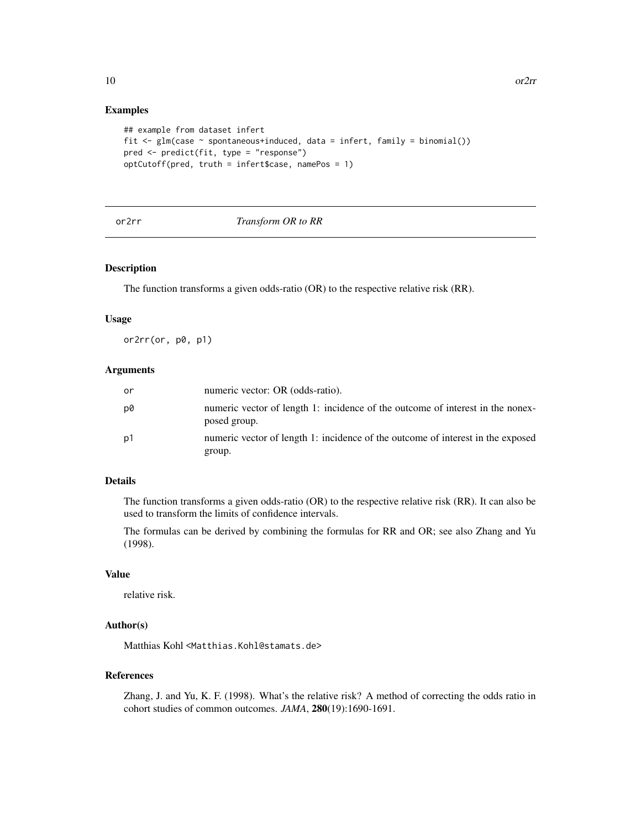#### Examples

```
## example from dataset infert
fit <- glm(case ~ spontaneous+induced, data = infert, family = binomial())
pred <- predict(fit, type = "response")
optCutoff(pred, truth = infert$case, namePos = 1)
```
#### or2rr *Transform OR to RR*

#### Description

The function transforms a given odds-ratio (OR) to the respective relative risk (RR).

#### Usage

or2rr(or, p0, p1)

#### Arguments

| or | numeric vector: OR (odds-ratio).                                                               |
|----|------------------------------------------------------------------------------------------------|
| p0 | numeric vector of length 1: incidence of the outcome of interest in the nonex-<br>posed group. |
| p1 | numeric vector of length 1: incidence of the outcome of interest in the exposed<br>group.      |

#### Details

The function transforms a given odds-ratio (OR) to the respective relative risk (RR). It can also be used to transform the limits of confidence intervals.

The formulas can be derived by combining the formulas for RR and OR; see also Zhang and Yu (1998).

#### Value

relative risk.

## Author(s)

Matthias Kohl <Matthias.Kohl@stamats.de>

## References

Zhang, J. and Yu, K. F. (1998). What's the relative risk? A method of correcting the odds ratio in cohort studies of common outcomes. *JAMA*, 280(19):1690-1691.

<span id="page-9-0"></span>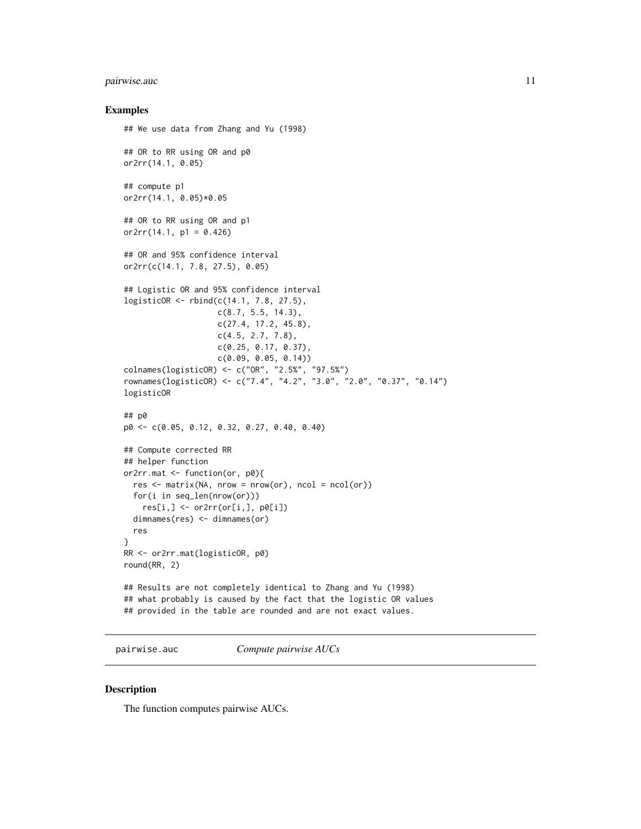## <span id="page-10-0"></span>pairwise.auc 11

#### Examples

```
## We use data from Zhang and Yu (1998)
## OR to RR using OR and p0
or2rr(14.1, 0.05)
## compute p1
or2rr(14.1, 0.05)*0.05
## OR to RR using OR and p1
or2rr(14.1, p1 = 0.426)## OR and 95% confidence interval
or2rr(c(14.1, 7.8, 27.5), 0.05)
## Logistic OR and 95% confidence interval
logisticOR <- rbind(c(14.1, 7.8, 27.5),
                    c(8.7, 5.5, 14.3),
                    c(27.4, 17.2, 45.8),
                    c(4.5, 2.7, 7.8),
                    c(0.25, 0.17, 0.37),
                    c(0.09, 0.05, 0.14))
colnames(logisticOR) <- c("OR", "2.5%", "97.5%")
rownames(logisticOR) <- c("7.4", "4.2", "3.0", "2.0", "0.37", "0.14")
logisticOR
## p0
p0 <- c(0.05, 0.12, 0.32, 0.27, 0.40, 0.40)
## Compute corrected RR
## helper function
or2rr.mat <- function(or, p0){
  res \leq -\text{matrix}(NA, nrow = nrow(or), ncol = ncol(or))for(i in seq_len(nrow(or)))
   res[i, ] \leftarrow or2rr(or[i,], p0[i])dimnames(res) <- dimnames(or)
  res
}
RR <- or2rr.mat(logisticOR, p0)
round(RR, 2)
## Results are not completely identical to Zhang and Yu (1998)
## what probably is caused by the fact that the logistic OR values
## provided in the table are rounded and are not exact values.
```
pairwise.auc *Compute pairwise AUCs*

#### Description

The function computes pairwise AUCs.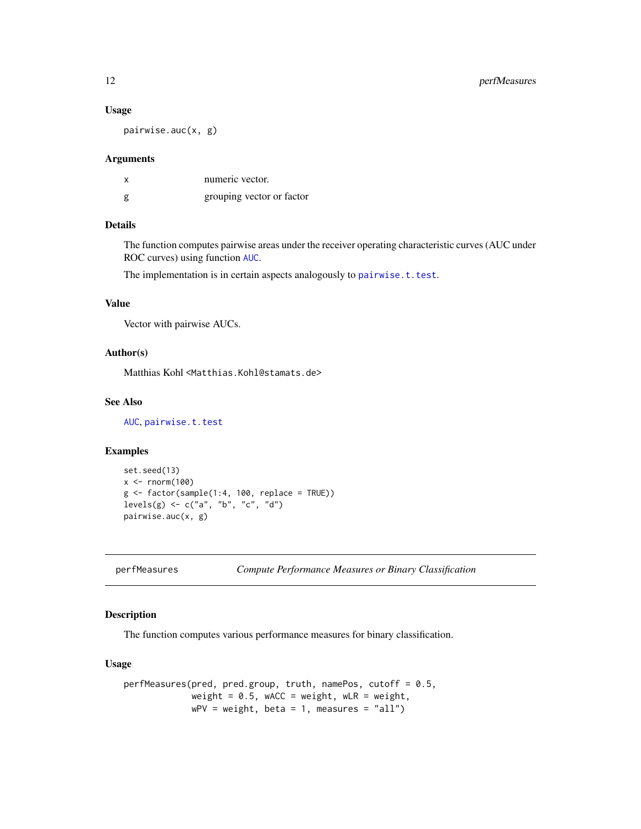#### Usage

pairwise.auc(x, g)

#### Arguments

| х | numeric vector.           |
|---|---------------------------|
| g | grouping vector or factor |

## Details

The function computes pairwise areas under the receiver operating characteristic curves (AUC under ROC curves) using function [AUC](#page-2-1).

The implementation is in certain aspects analogously to [pairwise.t.test](#page-0-0).

#### Value

Vector with pairwise AUCs.

#### Author(s)

Matthias Kohl <Matthias.Kohl@stamats.de>

## See Also

[AUC](#page-2-1), [pairwise.t.test](#page-0-0)

#### Examples

```
set.seed(13)
x < - rnorm(100)
g \leftarrow factor(sample(1:4, 100, replace = TRUE))levels(g) \leq c("a", "b", "c", "d")pairwise.auc(x, g)
```

```
perfMeasures Compute Performance Measures or Binary Classification
```
#### Description

The function computes various performance measures for binary classification.

#### Usage

```
perfMeasures(pred, pred.group, truth, namePos, cutoff = 0.5,
            weight = 0.5, wACC = weight, wLR = weight,
            wPV = weight, beta = 1, measures = "all")
```
<span id="page-11-0"></span>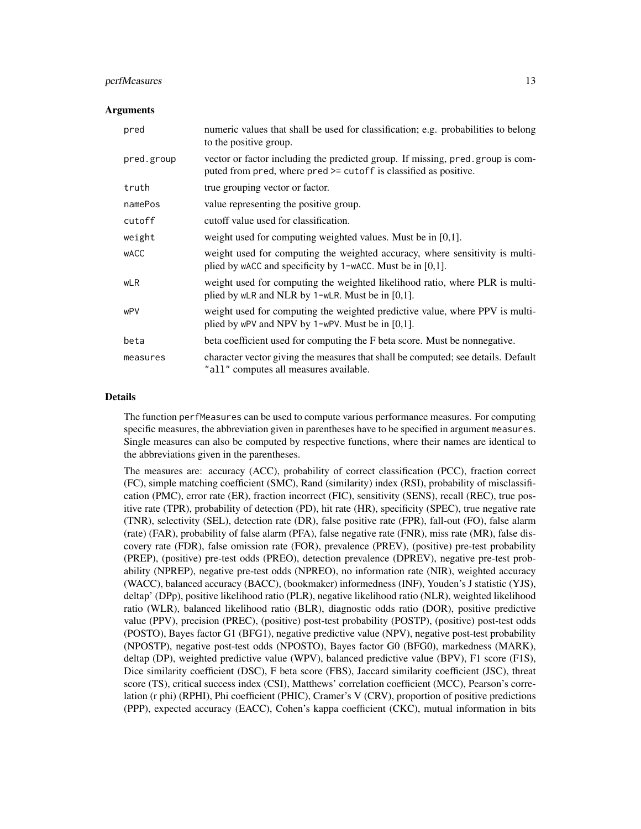### perfMeasures 13

#### Arguments

| pred        | numeric values that shall be used for classification; e.g. probabilities to belong<br>to the positive group.                                       |
|-------------|----------------------------------------------------------------------------------------------------------------------------------------------------|
| pred.group  | vector or factor including the predicted group. If missing, pred.group is com-<br>puted from pred, where pred >= cutoff is classified as positive. |
| truth       | true grouping vector or factor.                                                                                                                    |
| namePos     | value representing the positive group.                                                                                                             |
| cutoff      | cutoff value used for classification.                                                                                                              |
| weight      | weight used for computing weighted values. Must be in $[0,1]$ .                                                                                    |
| <b>WACC</b> | weight used for computing the weighted accuracy, where sensitivity is multi-<br>plied by wACC and specificity by $1$ -wACC. Must be in [0,1].      |
| wLR         | weight used for computing the weighted likelihood ratio, where PLR is multi-<br>plied by wLR and NLR by 1-wLR. Must be in $[0,1]$ .                |
| wPV         | weight used for computing the weighted predictive value, where PPV is multi-<br>plied by wPV and NPV by 1-wPV. Must be in $[0,1]$ .                |
| beta        | beta coefficient used for computing the F beta score. Must be nonnegative.                                                                         |
| measures    | character vector giving the measures that shall be computed; see details. Default<br>"all" computes all measures available.                        |

#### Details

The function perfMeasures can be used to compute various performance measures. For computing specific measures, the abbreviation given in parentheses have to be specified in argument measures. Single measures can also be computed by respective functions, where their names are identical to the abbreviations given in the parentheses.

The measures are: accuracy (ACC), probability of correct classification (PCC), fraction correct (FC), simple matching coefficient (SMC), Rand (similarity) index (RSI), probability of misclassification (PMC), error rate (ER), fraction incorrect (FIC), sensitivity (SENS), recall (REC), true positive rate (TPR), probability of detection (PD), hit rate (HR), specificity (SPEC), true negative rate (TNR), selectivity (SEL), detection rate (DR), false positive rate (FPR), fall-out (FO), false alarm (rate) (FAR), probability of false alarm (PFA), false negative rate (FNR), miss rate (MR), false discovery rate (FDR), false omission rate (FOR), prevalence (PREV), (positive) pre-test probability (PREP), (positive) pre-test odds (PREO), detection prevalence (DPREV), negative pre-test probability (NPREP), negative pre-test odds (NPREO), no information rate (NIR), weighted accuracy (WACC), balanced accuracy (BACC), (bookmaker) informedness (INF), Youden's J statistic (YJS), deltap' (DPp), positive likelihood ratio (PLR), negative likelihood ratio (NLR), weighted likelihood ratio (WLR), balanced likelihood ratio (BLR), diagnostic odds ratio (DOR), positive predictive value (PPV), precision (PREC), (positive) post-test probability (POSTP), (positive) post-test odds (POSTO), Bayes factor G1 (BFG1), negative predictive value (NPV), negative post-test probability (NPOSTP), negative post-test odds (NPOSTO), Bayes factor G0 (BFG0), markedness (MARK), deltap (DP), weighted predictive value (WPV), balanced predictive value (BPV), F1 score (F1S), Dice similarity coefficient (DSC), F beta score (FBS), Jaccard similarity coefficient (JSC), threat score (TS), critical success index (CSI), Matthews' correlation coefficient (MCC), Pearson's correlation (r phi) (RPHI), Phi coefficient (PHIC), Cramer's V (CRV), proportion of positive predictions (PPP), expected accuracy (EACC), Cohen's kappa coefficient (CKC), mutual information in bits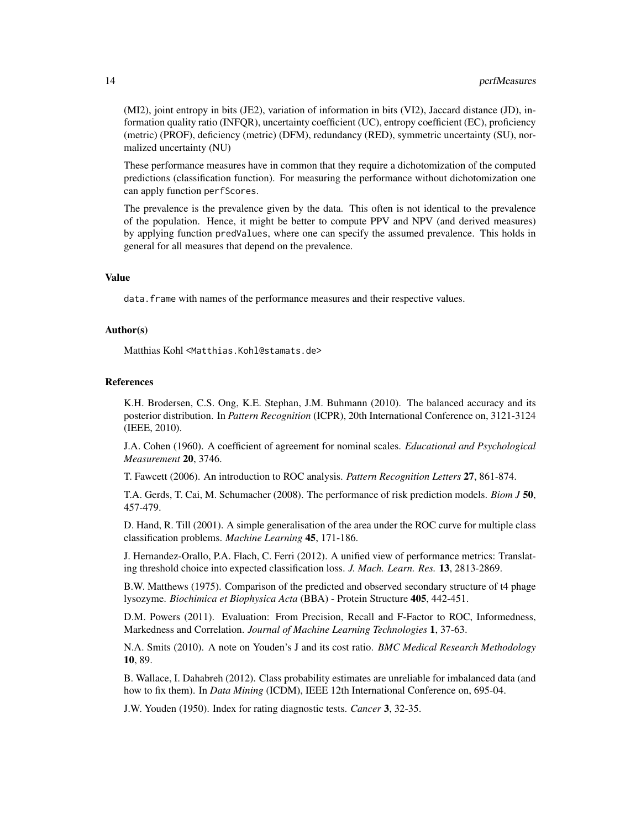(MI2), joint entropy in bits (JE2), variation of information in bits (VI2), Jaccard distance (JD), information quality ratio (INFQR), uncertainty coefficient (UC), entropy coefficient (EC), proficiency (metric) (PROF), deficiency (metric) (DFM), redundancy (RED), symmetric uncertainty (SU), normalized uncertainty (NU)

These performance measures have in common that they require a dichotomization of the computed predictions (classification function). For measuring the performance without dichotomization one can apply function perfScores.

The prevalence is the prevalence given by the data. This often is not identical to the prevalence of the population. Hence, it might be better to compute PPV and NPV (and derived measures) by applying function predValues, where one can specify the assumed prevalence. This holds in general for all measures that depend on the prevalence.

## Value

data. frame with names of the performance measures and their respective values.

#### Author(s)

Matthias Kohl <Matthias.Kohl@stamats.de>

#### References

K.H. Brodersen, C.S. Ong, K.E. Stephan, J.M. Buhmann (2010). The balanced accuracy and its posterior distribution. In *Pattern Recognition* (ICPR), 20th International Conference on, 3121-3124 (IEEE, 2010).

J.A. Cohen (1960). A coefficient of agreement for nominal scales. *Educational and Psychological Measurement* 20, 3746.

T. Fawcett (2006). An introduction to ROC analysis. *Pattern Recognition Letters* 27, 861-874.

T.A. Gerds, T. Cai, M. Schumacher (2008). The performance of risk prediction models. *Biom J* 50, 457-479.

D. Hand, R. Till (2001). A simple generalisation of the area under the ROC curve for multiple class classification problems. *Machine Learning* 45, 171-186.

J. Hernandez-Orallo, P.A. Flach, C. Ferri (2012). A unified view of performance metrics: Translating threshold choice into expected classification loss. *J. Mach. Learn. Res.* 13, 2813-2869.

B.W. Matthews (1975). Comparison of the predicted and observed secondary structure of t4 phage lysozyme. *Biochimica et Biophysica Acta* (BBA) - Protein Structure 405, 442-451.

D.M. Powers (2011). Evaluation: From Precision, Recall and F-Factor to ROC, Informedness, Markedness and Correlation. *Journal of Machine Learning Technologies* 1, 37-63.

N.A. Smits (2010). A note on Youden's J and its cost ratio. *BMC Medical Research Methodology* 10, 89.

B. Wallace, I. Dahabreh (2012). Class probability estimates are unreliable for imbalanced data (and how to fix them). In *Data Mining* (ICDM), IEEE 12th International Conference on, 695-04.

J.W. Youden (1950). Index for rating diagnostic tests. *Cancer* 3, 32-35.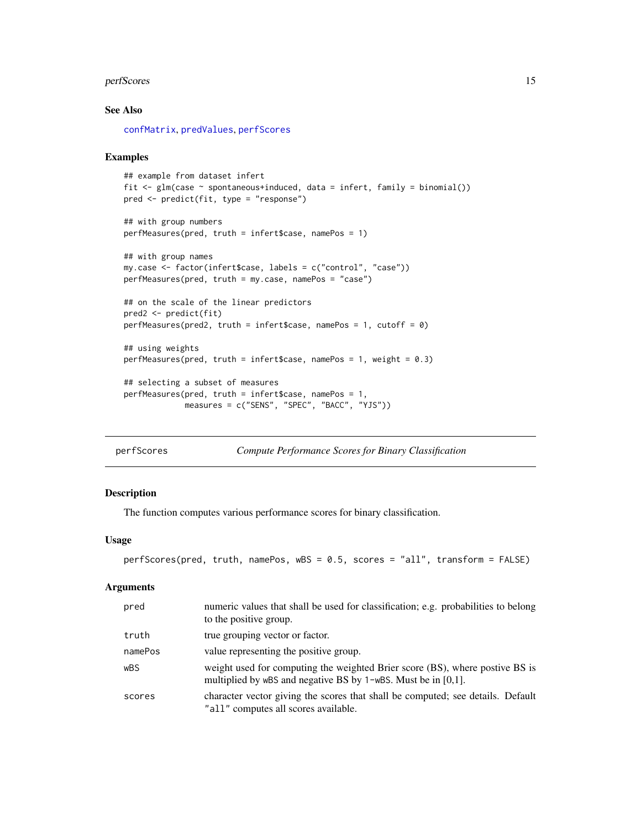#### <span id="page-14-0"></span>perfScores and the set of the set of the set of the set of the set of the set of the set of the set of the set of the set of the set of the set of the set of the set of the set of the set of the set of the set of the set o

#### See Also

[confMatrix](#page-4-1), [predValues](#page-16-1), [perfScores](#page-14-1)

#### Examples

```
## example from dataset infert
fit \leq glm(case \sim spontaneous+induced, data = infert, family = binomial())
pred <- predict(fit, type = "response")
## with group numbers
perfMeasures(pred, truth = infert$case, namePos = 1)
## with group names
my.case <- factor(infert$case, labels = c("control", "case"))
perfMeasures(pred, truth = my.case, namePos = "case")
## on the scale of the linear predictors
pred2 <- predict(fit)
perfMeasures(pred2, truth = infert$case, namePos = 1, cutoff = 0)
## using weights
perfMeasures(pred, truth = infert$case, namePos = 1, weight = 0.3)
## selecting a subset of measures
perfMeasures(pred, truth = infert$case, namePos = 1,
             measures = c("SENS", "SPEC", "BACC", "YJS"))
```
<span id="page-14-1"></span>perfScores *Compute Performance Scores for Binary Classification*

#### Description

The function computes various performance scores for binary classification.

#### Usage

```
perfScores(pred, truth, namePos, wBS = 0.5, scores = "all", transform = FALSE)
```
#### Arguments

| pred    | numeric values that shall be used for classification; e.g. probabilities to belong<br>to the positive group.                                     |
|---------|--------------------------------------------------------------------------------------------------------------------------------------------------|
| truth   | true grouping vector or factor.                                                                                                                  |
| namePos | value representing the positive group.                                                                                                           |
| wBS     | weight used for computing the weighted Brier score (BS), where postive BS is<br>multiplied by wBS and negative BS by $1$ –wBS. Must be in [0,1]. |
| scores  | character vector giving the scores that shall be computed; see details. Default<br>"all" computes all scores available.                          |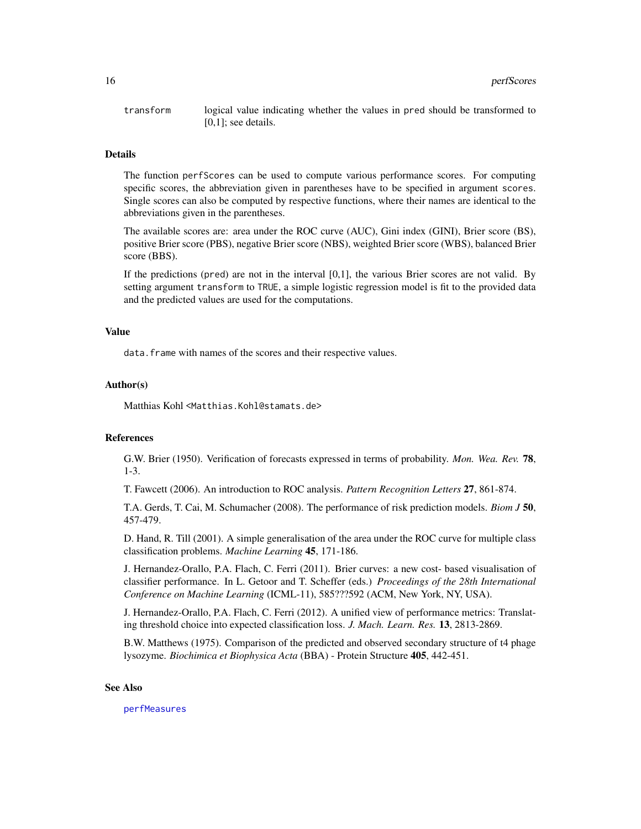<span id="page-15-0"></span>transform logical value indicating whether the values in pred should be transformed to [0,1]; see details.

#### Details

The function perfScores can be used to compute various performance scores. For computing specific scores, the abbreviation given in parentheses have to be specified in argument scores. Single scores can also be computed by respective functions, where their names are identical to the abbreviations given in the parentheses.

The available scores are: area under the ROC curve (AUC), Gini index (GINI), Brier score (BS), positive Brier score (PBS), negative Brier score (NBS), weighted Brier score (WBS), balanced Brier score (BBS).

If the predictions (pred) are not in the interval [0,1], the various Brier scores are not valid. By setting argument transform to TRUE, a simple logistic regression model is fit to the provided data and the predicted values are used for the computations.

#### Value

data.frame with names of the scores and their respective values.

#### Author(s)

Matthias Kohl <Matthias.Kohl@stamats.de>

## References

G.W. Brier (1950). Verification of forecasts expressed in terms of probability. *Mon. Wea. Rev.* 78, 1-3.

T. Fawcett (2006). An introduction to ROC analysis. *Pattern Recognition Letters* 27, 861-874.

T.A. Gerds, T. Cai, M. Schumacher (2008). The performance of risk prediction models. *Biom J* 50, 457-479.

D. Hand, R. Till (2001). A simple generalisation of the area under the ROC curve for multiple class classification problems. *Machine Learning* 45, 171-186.

J. Hernandez-Orallo, P.A. Flach, C. Ferri (2011). Brier curves: a new cost- based visualisation of classifier performance. In L. Getoor and T. Scheffer (eds.) *Proceedings of the 28th International Conference on Machine Learning* (ICML-11), 585???592 (ACM, New York, NY, USA).

J. Hernandez-Orallo, P.A. Flach, C. Ferri (2012). A unified view of performance metrics: Translating threshold choice into expected classification loss. *J. Mach. Learn. Res.* 13, 2813-2869.

B.W. Matthews (1975). Comparison of the predicted and observed secondary structure of t4 phage lysozyme. *Biochimica et Biophysica Acta* (BBA) - Protein Structure 405, 442-451.

#### See Also

[perfMeasures](#page-11-1)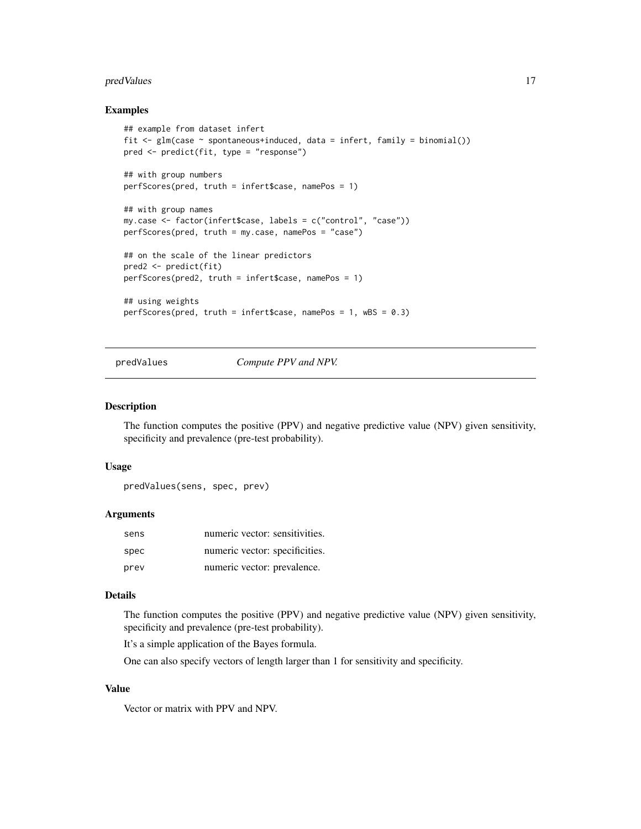#### <span id="page-16-0"></span>predValues **17**

#### Examples

```
## example from dataset infert
fit \leq glm(case \sim spontaneous+induced, data = infert, family = binomial())
pred <- predict(fit, type = "response")
## with group numbers
perfScores(pred, truth = infert$case, namePos = 1)
## with group names
my.case <- factor(infert$case, labels = c("control", "case"))
perfScores(pred, truth = my.case, namePos = "case")
## on the scale of the linear predictors
pred2 <- predict(fit)
perfScores(pred2, truth = infert$case, namePos = 1)
## using weights
perfScores(pred, truth = infert$case, namePos = 1, wBS = 0.3)
```
<span id="page-16-1"></span>predValues *Compute PPV and NPV.*

#### Description

The function computes the positive (PPV) and negative predictive value (NPV) given sensitivity, specificity and prevalence (pre-test probability).

#### Usage

```
predValues(sens, spec, prev)
```
#### Arguments

| sens | numeric vector: sensitivities. |  |
|------|--------------------------------|--|
| spec | numeric vector: specificities. |  |
| prev | numeric vector: prevalence.    |  |

## Details

The function computes the positive (PPV) and negative predictive value (NPV) given sensitivity, specificity and prevalence (pre-test probability).

It's a simple application of the Bayes formula.

One can also specify vectors of length larger than 1 for sensitivity and specificity.

## Value

Vector or matrix with PPV and NPV.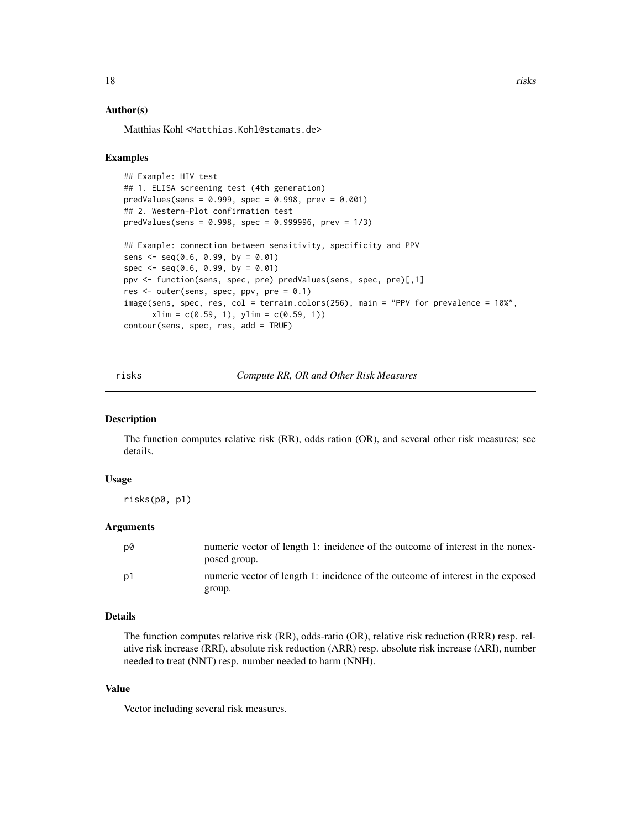#### <span id="page-17-0"></span>Author(s)

Matthias Kohl <Matthias.Kohl@stamats.de>

#### Examples

```
## Example: HIV test
## 1. ELISA screening test (4th generation)
predValues(sens = 0.999, spec = 0.998, prev = 0.001)## 2. Western-Plot confirmation test
predValues(sens = 0.998, spec = 0.999996, prev = 1/3)
## Example: connection between sensitivity, specificity and PPV
sens \leq seq(0.6, 0.99, by = 0.01)
spec \leq seq(0.6, 0.99, by = 0.01)ppv <- function(sens, spec, pre) predValues(sens, spec, pre)[,1]
res <- outer(sens, spec, ppv, pre = 0.1)
image(sens, spec, res, col = terrain.colors(256), main = "PPV for prevalence = 10%",
     xlim = c(0.59, 1), ylim = c(0.59, 1))contour(sens, spec, res, add = TRUE)
```
risks *Compute RR, OR and Other Risk Measures*

#### Description

The function computes relative risk (RR), odds ration (OR), and several other risk measures; see details.

#### Usage

risks(p0, p1)

#### Arguments

| D0   | numeric vector of length 1: incidence of the outcome of interest in the nonex-<br>posed group. |
|------|------------------------------------------------------------------------------------------------|
| . p1 | numeric vector of length 1: incidence of the outcome of interest in the exposed                |
|      | group.                                                                                         |

#### Details

The function computes relative risk (RR), odds-ratio (OR), relative risk reduction (RRR) resp. relative risk increase (RRI), absolute risk reduction (ARR) resp. absolute risk increase (ARI), number needed to treat (NNT) resp. number needed to harm (NNH).

#### Value

Vector including several risk measures.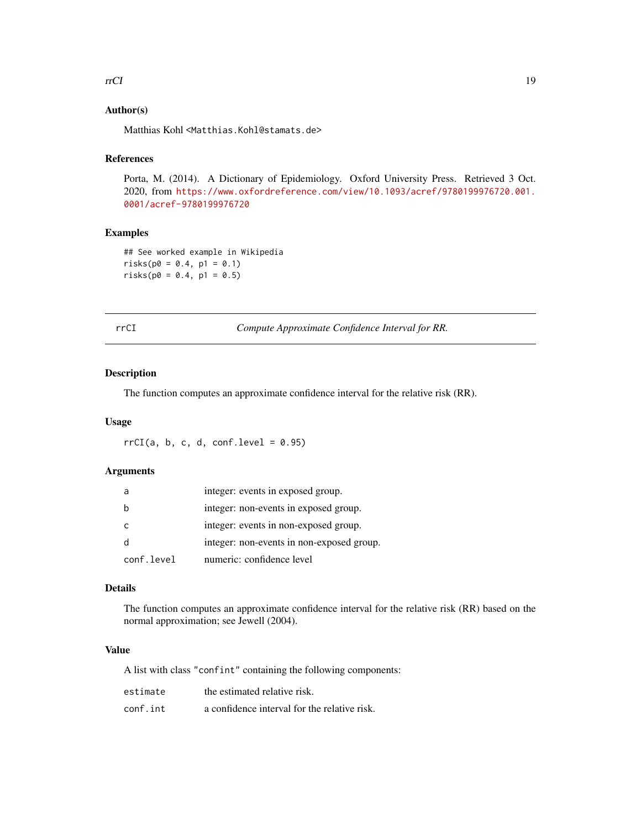#### <span id="page-18-0"></span>rrCI and the contract of the contract of the contract of the contract of the contract of the contract of the contract of the contract of the contract of the contract of the contract of the contract of the contract of the c

## Author(s)

Matthias Kohl <Matthias.Kohl@stamats.de>

## References

Porta, M. (2014). A Dictionary of Epidemiology. Oxford University Press. Retrieved 3 Oct. 2020, from [https://www.oxfordreference.com/view/10.1093/acref/9780199976720.001.](https://www.oxfordreference.com/view/10.1093/acref/9780199976720.001.0001/acref-9780199976720) [0001/acref-9780199976720](https://www.oxfordreference.com/view/10.1093/acref/9780199976720.001.0001/acref-9780199976720)

## Examples

## See worked example in Wikipedia  $risks(p0 = 0.4, p1 = 0.1)$  $risks(p0 = 0.4, p1 = 0.5)$ 

|  |   | ۰.          |
|--|---|-------------|
|  | × | ٠<br>$\sim$ |

I **Compute Approximate Confidence Interval for RR.** 

#### Description

The function computes an approximate confidence interval for the relative risk (RR).

#### Usage

 $rrCI(a, b, c, d, conf. level = 0.95)$ 

#### Arguments

|            | integer: events in exposed group.         |
|------------|-------------------------------------------|
|            | integer: non-events in exposed group.     |
|            | integer: events in non-exposed group.     |
|            | integer: non-events in non-exposed group. |
| conf.level | numeric: confidence level                 |

## Details

The function computes an approximate confidence interval for the relative risk (RR) based on the normal approximation; see Jewell (2004).

#### Value

A list with class "confint" containing the following components:

| estimate | the estimated relative risk.                 |
|----------|----------------------------------------------|
| conf.int | a confidence interval for the relative risk. |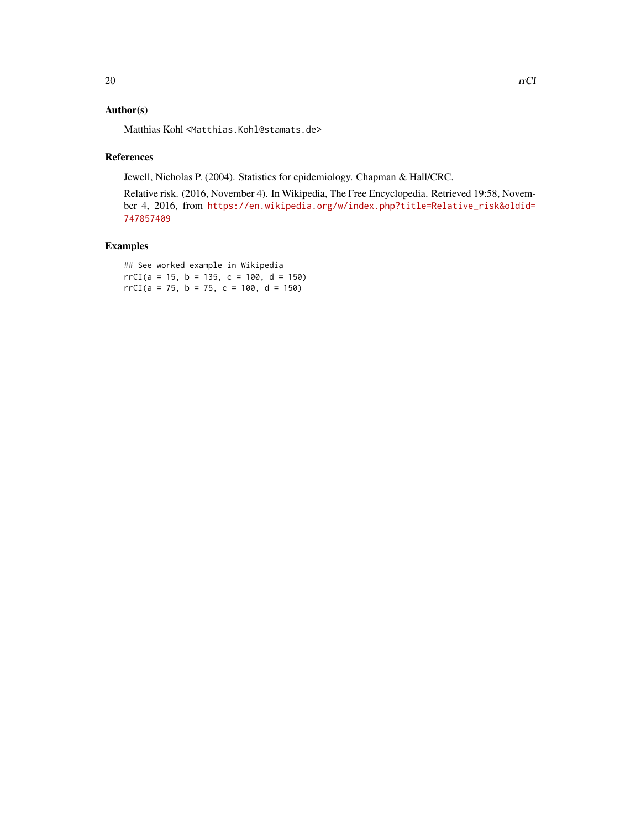## Author(s)

Matthias Kohl <Matthias.Kohl@stamats.de>

## References

Jewell, Nicholas P. (2004). Statistics for epidemiology. Chapman & Hall/CRC.

Relative risk. (2016, November 4). In Wikipedia, The Free Encyclopedia. Retrieved 19:58, November 4, 2016, from [https://en.wikipedia.org/w/index.php?title=Relative\\_risk&oldid=](https://en.wikipedia.org/w/index.php?title=Relative_risk&oldid=747857409) [747857409](https://en.wikipedia.org/w/index.php?title=Relative_risk&oldid=747857409)

## Examples

## See worked example in Wikipedia  $rrCI(a = 15, b = 135, c = 100, d = 150)$  $rrCI(a = 75, b = 75, c = 100, d = 150)$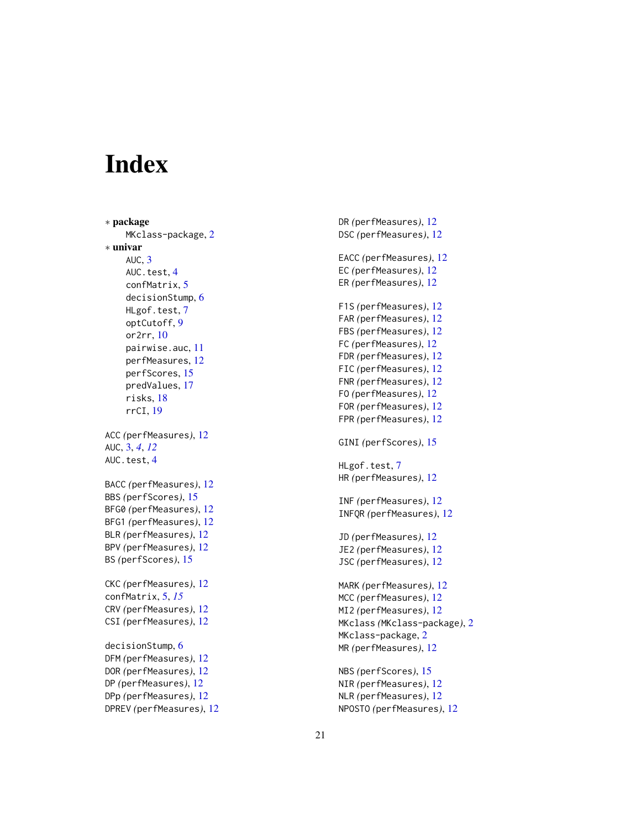# <span id="page-20-0"></span>**Index**

∗ package MKclass-package , [2](#page-1-0) ∗ univar  $AUC, 3$  $AUC, 3$ AUC.test, [4](#page-3-0) confMatrix , [5](#page-4-0) decisionStump, [6](#page-5-0) HLgof.test, [7](#page-6-0) optCutoff , [9](#page-8-0) or2rr , [10](#page-9-0) pairwise.auc , [11](#page-10-0) perfMeasures , [12](#page-11-0) perfScores , [15](#page-14-0) predValues , [17](#page-16-0) risks , [18](#page-17-0) rrCI , [19](#page-18-0) ACC *(*perfMeasures *)* , [12](#page-11-0) AUC , [3](#page-2-0) , *[4](#page-3-0)* , *[12](#page-11-0)* AUC.test, [4](#page-3-0) BACC *(*perfMeasures *)* , [12](#page-11-0) BBS *(*perfScores *)* , [15](#page-14-0) BFG0 *(*perfMeasures *)* , [12](#page-11-0) BFG1 *(*perfMeasures *)* , [12](#page-11-0) BLR *(*perfMeasures *)* , [12](#page-11-0) BPV *(*perfMeasures *)* , [12](#page-11-0) BS *(*perfScores *)* , [15](#page-14-0) CKC *(*perfMeasures *)* , [12](#page-11-0) confMatrix , [5](#page-4-0) , *[15](#page-14-0)* CRV *(*perfMeasures *)* , [12](#page-11-0) CSI *(*perfMeasures *)* , [12](#page-11-0) decisionStump, [6](#page-5-0) DFM *(*perfMeasures *)* , [12](#page-11-0) DOR *(*perfMeasures *)* , [12](#page-11-0) DP *(*perfMeasures *)* , [12](#page-11-0) DPp *(*perfMeasures *)* , [12](#page-11-0) DPREV *(*perfMeasures *)* , [12](#page-11-0) DR *(*perfMeasures *)* , [12](#page-11-0) DSC *(*perfMeasures *)* , [12](#page-11-0) EACC *(*perfMeasures *)* , [12](#page-11-0) EC *(*perfMeasures *)* , [12](#page-11-0) ER *(*perfMeasures *)* , [12](#page-11-0) F1S *(*perfMeasures *)* , [12](#page-11-0) FAR *(*perfMeasures *)* , [12](#page-11-0) FBS *(*perfMeasures *)* , [12](#page-11-0) FC *(*perfMeasures *)* , [12](#page-11-0) FDR *(*perfMeasures *)* , [12](#page-11-0) FIC *(*perfMeasures *)* , [12](#page-11-0) FNR *(*perfMeasures *)* , [12](#page-11-0) FO *(*perfMeasures *)* , [12](#page-11-0) FOR *(*perfMeasures *)* , [12](#page-11-0) FPR *(*perfMeasures *)* , [12](#page-11-0) GINI *(*perfScores *)* , [15](#page-14-0) HLgof.test,[7](#page-6-0) HR *(*perfMeasures *)* , [12](#page-11-0) INF *(*perfMeasures *)* , [12](#page-11-0) INFQR *(*perfMeasures *)* , [12](#page-11-0) JD *(*perfMeasures *)* , [12](#page-11-0) JE2 *(*perfMeasures *)* , [12](#page-11-0) JSC *(*perfMeasures *)* , [12](#page-11-0) MARK *(*perfMeasures *)* , [12](#page-11-0) MCC *(*perfMeasures *)* , [12](#page-11-0) MI2 *(*perfMeasures *)* , [12](#page-11-0) MKclass *(*MKclass-package *)* , [2](#page-1-0) MKclass-package, [2](#page-1-0) MR *(*perfMeasures *)* , [12](#page-11-0) NBS *(*perfScores *)* , [15](#page-14-0) NIR *(*perfMeasures *)* , [12](#page-11-0) NLR *(*perfMeasures *)* , [12](#page-11-0) NPOSTO *(*perfMeasures *)* , [12](#page-11-0)